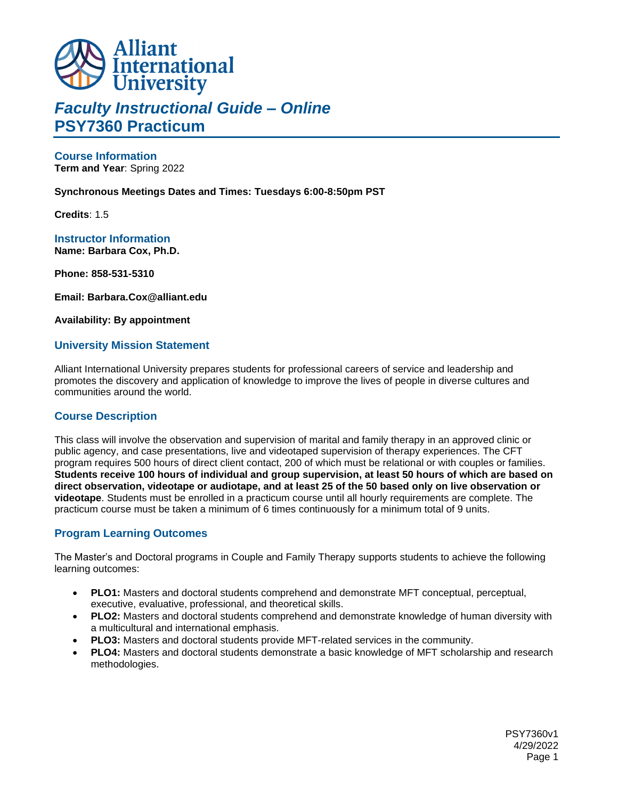

## *Faculty Instructional Guide – Online* **PSY7360 Practicum**

**Course Information Term and Year**: Spring 2022

#### **Synchronous Meetings Dates and Times: Tuesdays 6:00-8:50pm PST**

**Credits**: 1.5

**Instructor Information Name: Barbara Cox, Ph.D.**

**Phone: 858-531-5310**

**Email: Barbara.Cox@alliant.edu**

**Availability: By appointment**

#### **University Mission Statement**

Alliant International University prepares students for professional careers of service and leadership and promotes the discovery and application of knowledge to improve the lives of people in diverse cultures and communities around the world.

#### **Course Description**

This class will involve the observation and supervision of marital and family therapy in an approved clinic or public agency, and case presentations, live and videotaped supervision of therapy experiences. The CFT program requires 500 hours of direct client contact, 200 of which must be relational or with couples or families. **Students receive 100 hours of individual and group supervision, at least 50 hours of which are based on direct observation, videotape or audiotape, and at least 25 of the 50 based only on live observation or videotape**. Students must be enrolled in a practicum course until all hourly requirements are complete. The practicum course must be taken a minimum of 6 times continuously for a minimum total of 9 units.

#### **Program Learning Outcomes**

The Master's and Doctoral programs in Couple and Family Therapy supports students to achieve the following learning outcomes:

- **PLO1:** Masters and doctoral students comprehend and demonstrate MFT conceptual, perceptual, executive, evaluative, professional, and theoretical skills.
- **PLO2:** Masters and doctoral students comprehend and demonstrate knowledge of human diversity with a multicultural and international emphasis.
- **PLO3:** Masters and doctoral students provide MFT-related services in the community.
- **PLO4:** Masters and doctoral students demonstrate a basic knowledge of MFT scholarship and research methodologies.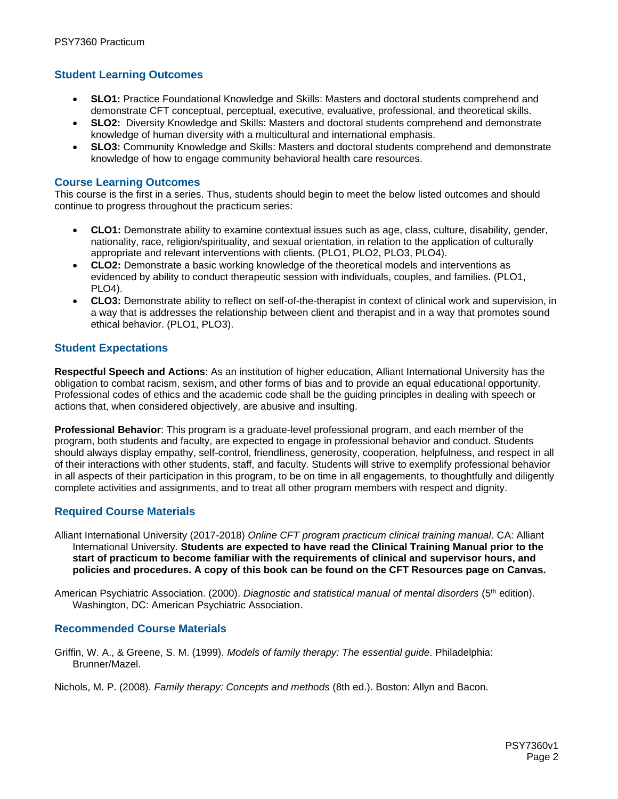### **Student Learning Outcomes**

- **SLO1:** Practice Foundational Knowledge and Skills: Masters and doctoral students comprehend and demonstrate CFT conceptual, perceptual, executive, evaluative, professional, and theoretical skills.
- **SLO2:** Diversity Knowledge and Skills: Masters and doctoral students comprehend and demonstrate knowledge of human diversity with a multicultural and international emphasis.
- **SLO3:** Community Knowledge and Skills: Masters and doctoral students comprehend and demonstrate knowledge of how to engage community behavioral health care resources.

#### **Course Learning Outcomes**

This course is the first in a series. Thus, students should begin to meet the below listed outcomes and should continue to progress throughout the practicum series:

- **CLO1:** Demonstrate ability to examine contextual issues such as age, class, culture, disability, gender, nationality, race, religion/spirituality, and sexual orientation, in relation to the application of culturally appropriate and relevant interventions with clients. (PLO1, PLO2, PLO3, PLO4).
- **CLO2:** Demonstrate a basic working knowledge of the theoretical models and interventions as evidenced by ability to conduct therapeutic session with individuals, couples, and families. (PLO1, PLO4).
- **CLO3:** Demonstrate ability to reflect on self-of-the-therapist in context of clinical work and supervision, in a way that is addresses the relationship between client and therapist and in a way that promotes sound ethical behavior. (PLO1, PLO3).

#### **Student Expectations**

**Respectful Speech and Actions**: As an institution of higher education, Alliant International University has the obligation to combat racism, sexism, and other forms of bias and to provide an equal educational opportunity. Professional codes of ethics and the academic code shall be the guiding principles in dealing with speech or actions that, when considered objectively, are abusive and insulting.

**Professional Behavior**: This program is a graduate-level professional program, and each member of the program, both students and faculty, are expected to engage in professional behavior and conduct. Students should always display empathy, self-control, friendliness, generosity, cooperation, helpfulness, and respect in all of their interactions with other students, staff, and faculty. Students will strive to exemplify professional behavior in all aspects of their participation in this program, to be on time in all engagements, to thoughtfully and diligently complete activities and assignments, and to treat all other program members with respect and dignity.

#### **Required Course Materials**

Alliant International University (2017-2018) *Online CFT program practicum clinical training manual*. CA: Alliant International University. **Students are expected to have read the Clinical Training Manual prior to the start of practicum to become familiar with the requirements of clinical and supervisor hours, and policies and procedures. A copy of this book can be found on the CFT Resources page on Canvas.**

American Psychiatric Association. (2000). *Diagnostic and statistical manual of mental disorders* (5<sup>th</sup> edition). Washington, DC: American Psychiatric Association.

#### **Recommended Course Materials**

Griffin, W. A., & Greene, S. M. (1999). *Models of family therapy: The essential guide*. Philadelphia: Brunner/Mazel.

Nichols, M. P. (2008). *Family therapy: Concepts and methods* (8th ed.). Boston: Allyn and Bacon.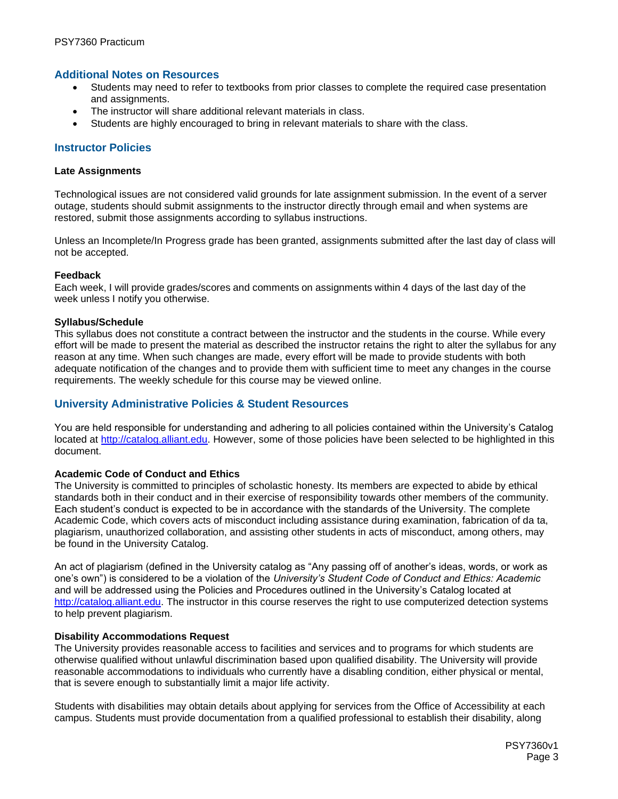#### **Additional Notes on Resources**

- Students may need to refer to textbooks from prior classes to complete the required case presentation and assignments.
- The instructor will share additional relevant materials in class.
- Students are highly encouraged to bring in relevant materials to share with the class.

#### **Instructor Policies**

#### **Late Assignments**

Technological issues are not considered valid grounds for late assignment submission. In the event of a server outage, students should submit assignments to the instructor directly through email and when systems are restored, submit those assignments according to syllabus instructions.

Unless an Incomplete/In Progress grade has been granted, assignments submitted after the last day of class will not be accepted.

#### **Feedback**

Each week, I will provide grades/scores and comments on assignments within 4 days of the last day of the week unless I notify you otherwise.

#### **Syllabus/Schedule**

This syllabus does not constitute a contract between the instructor and the students in the course. While every effort will be made to present the material as described the instructor retains the right to alter the syllabus for any reason at any time. When such changes are made, every effort will be made to provide students with both adequate notification of the changes and to provide them with sufficient time to meet any changes in the course requirements. The weekly schedule for this course may be viewed online.

#### **University Administrative Policies & Student Resources**

You are held responsible for understanding and adhering to all policies contained within the University's Catalog located at [http://catalog.alliant.edu.](http://catalog.alliant.edu/) However, some of those policies have been selected to be highlighted in this document.

#### **Academic Code of Conduct and Ethics**

The University is committed to principles of scholastic honesty. Its members are expected to abide by ethical standards both in their conduct and in their exercise of responsibility towards other members of the community. Each student's conduct is expected to be in accordance with the standards of the University. The complete Academic Code, which covers acts of misconduct including assistance during examination, fabrication of da ta, plagiarism, unauthorized collaboration, and assisting other students in acts of misconduct, among others, may be found in the University Catalog.

An act of plagiarism (defined in the University catalog as "Any passing off of another's ideas, words, or work as one's own") is considered to be a violation of the *University's Student Code of Conduct and Ethics: Academic* and will be addressed using the Policies and Procedures outlined in the University's Catalog located at [http://catalog.alliant.edu.](http://catalog.alliant.edu/) The instructor in this course reserves the right to use computerized detection systems to help prevent plagiarism.

#### **Disability Accommodations Request**

The University provides reasonable access to facilities and services and to programs for which students are otherwise qualified without unlawful discrimination based upon qualified disability. The University will provide reasonable accommodations to individuals who currently have a disabling condition, either physical or mental, that is severe enough to substantially limit a major life activity.

Students with disabilities may obtain details about applying for services from the Office of Accessibility at each campus. Students must provide documentation from a qualified professional to establish their disability, along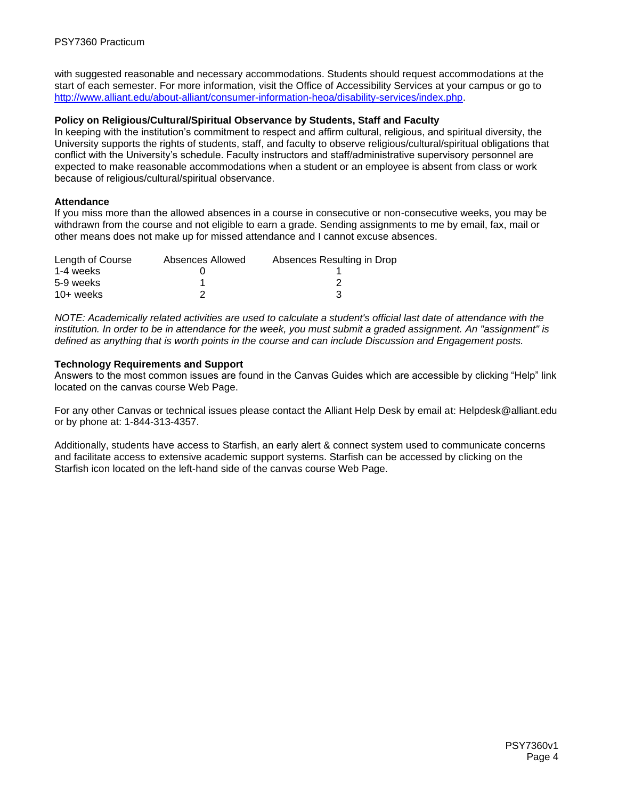with suggested reasonable and necessary accommodations. Students should request accommodations at the start of each semester. For more information, visit the Office of Accessibility Services at your campus or go to [http://www.alliant.edu/about-alliant/consumer-information-heoa/disability-services/index.php.](http://www.alliant.edu/about-alliant/consumer-information-heoa/disability-services/index.php)

#### **Policy on Religious/Cultural/Spiritual Observance by Students, Staff and Faculty**

In keeping with the institution's commitment to respect and affirm cultural, religious, and spiritual diversity, the University supports the rights of students, staff, and faculty to observe religious/cultural/spiritual obligations that conflict with the University's schedule. Faculty instructors and staff/administrative supervisory personnel are expected to make reasonable accommodations when a student or an employee is absent from class or work because of religious/cultural/spiritual observance.

#### **Attendance**

If you miss more than the allowed absences in a course in consecutive or non-consecutive weeks, you may be withdrawn from the course and not eligible to earn a grade. Sending assignments to me by email, fax, mail or other means does not make up for missed attendance and I cannot excuse absences.

| Length of Course | Absences Allowed | Absences Resulting in Drop |
|------------------|------------------|----------------------------|
| 1-4 weeks        |                  |                            |
| 5-9 weeks        |                  |                            |
| $10+$ weeks      |                  |                            |

*NOTE: Academically related activities are used to calculate a student's official last date of attendance with the institution. In order to be in attendance for the week, you must submit a graded assignment. An "assignment" is defined as anything that is worth points in the course and can include Discussion and Engagement posts.*

#### **Technology Requirements and Support**

Answers to the most common issues are found in the Canvas Guides which are accessible by clicking "Help" link located on the canvas course Web Page.

For any other Canvas or technical issues please contact the Alliant Help Desk by email at: Helpdesk@alliant.edu or by phone at: 1-844-313-4357.

Additionally, students have access to Starfish, an early alert & connect system used to communicate concerns and facilitate access to extensive academic support systems. Starfish can be accessed by clicking on the Starfish icon located on the left-hand side of the canvas course Web Page.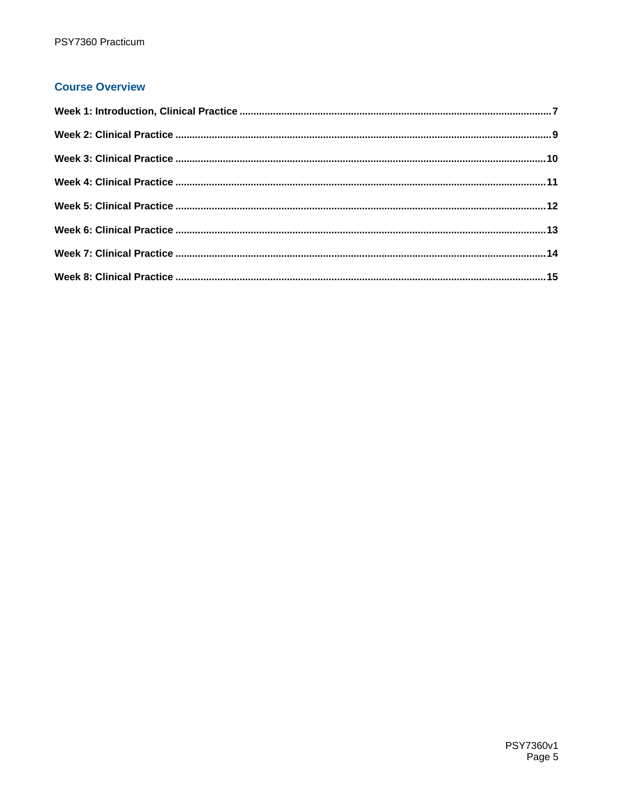## **Course Overview**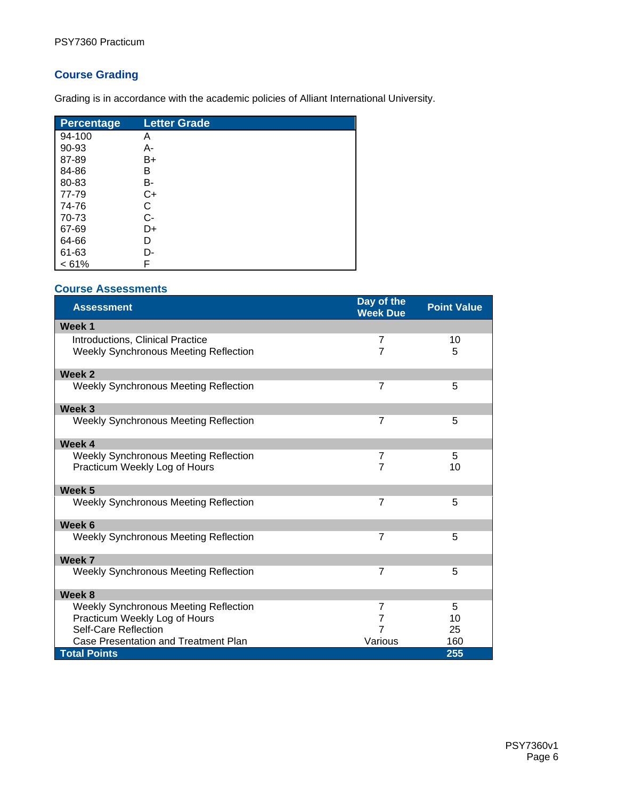## **Course Grading**

Grading is in accordance with the academic policies of Alliant International University.

| Percentage | <b>Letter Grade</b> |
|------------|---------------------|
| 94-100     | Α                   |
| 90-93      | А-                  |
| 87-89      | B+                  |
| 84-86      | В                   |
| 80-83      | B-                  |
| 77-79      | C+                  |
| 74-76      | С                   |
| 70-73      | С-                  |
| 67-69      | D+                  |
| 64-66      | D                   |
| 61-63      | D-                  |
| < 61%      | F                   |

#### **Course Assessments**

| <b>Assessment</b>                            | Day of the<br><b>Week Due</b> | <b>Point Value</b> |
|----------------------------------------------|-------------------------------|--------------------|
| Week 1                                       |                               |                    |
| Introductions, Clinical Practice             | 7                             | 10                 |
| <b>Weekly Synchronous Meeting Reflection</b> | $\overline{7}$                | 5                  |
| Week 2                                       |                               |                    |
| Weekly Synchronous Meeting Reflection        | $\overline{7}$                | 5                  |
| Week <sub>3</sub>                            |                               |                    |
| <b>Weekly Synchronous Meeting Reflection</b> | $\overline{7}$                | 5                  |
| Week 4                                       |                               |                    |
| Weekly Synchronous Meeting Reflection        | 7                             | 5                  |
| Practicum Weekly Log of Hours                | $\overline{7}$                | 10                 |
| Week 5                                       |                               |                    |
| <b>Weekly Synchronous Meeting Reflection</b> | $\overline{7}$                | 5                  |
| Week 6                                       |                               |                    |
| <b>Weekly Synchronous Meeting Reflection</b> | $\overline{7}$                | 5                  |
| Week 7                                       |                               |                    |
| <b>Weekly Synchronous Meeting Reflection</b> | $\overline{7}$                | 5                  |
| Week 8                                       |                               |                    |
| Weekly Synchronous Meeting Reflection        | $\overline{7}$                | 5                  |
| Practicum Weekly Log of Hours                | $\overline{7}$                | 10                 |
| Self-Care Reflection                         | $\overline{7}$                | 25                 |
| Case Presentation and Treatment Plan         | Various                       | 160                |
| <b>Total Points</b>                          |                               | 255                |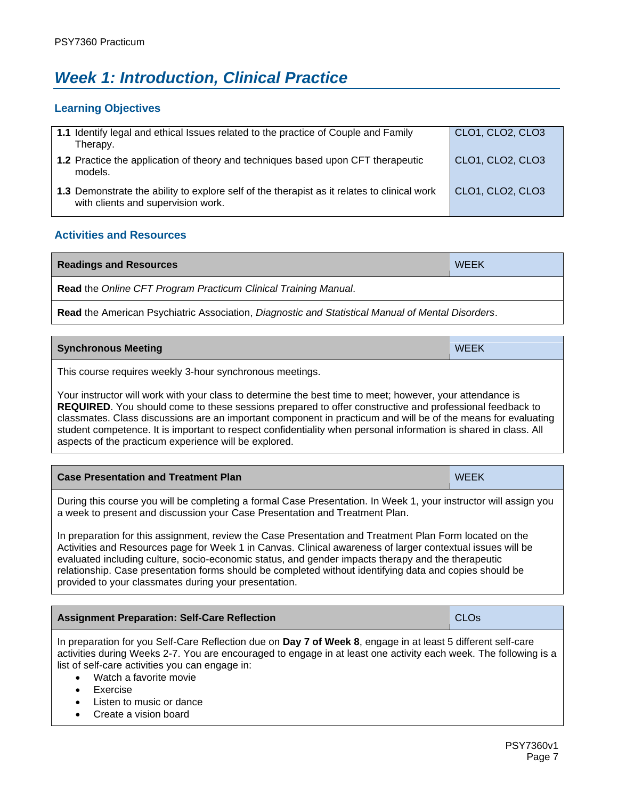# <span id="page-6-0"></span>*Week 1: Introduction, Clinical Practice*

#### **Learning Objectives**

| 1.1 Identify legal and ethical Issues related to the practice of Couple and Family<br>Therapy.                                    | CLO1, CLO2, CLO3 |
|-----------------------------------------------------------------------------------------------------------------------------------|------------------|
| <b>1.2</b> Practice the application of theory and techniques based upon CFT therapeutic<br>models.                                | CLO1, CLO2, CLO3 |
| 1.3 Demonstrate the ability to explore self of the therapist as it relates to clinical work<br>with clients and supervision work. | CLO1, CLO2, CLO3 |

## **Activities and Resources**

| <b>Readings and Resources</b>                                                                     | <b>WEEK</b> |  |
|---------------------------------------------------------------------------------------------------|-------------|--|
| <b>Read</b> the Online CFT Program Practicum Clinical Training Manual.                            |             |  |
| Read the American Psychiatric Association, Diagnostic and Statistical Manual of Mental Disorders. |             |  |

| <b>Synchronous Meeting</b> | WEEK |
|----------------------------|------|
|                            |      |

This course requires weekly 3-hour synchronous meetings.

Your instructor will work with your class to determine the best time to meet; however, your attendance is **REQUIRED**. You should come to these sessions prepared to offer constructive and professional feedback to classmates. Class discussions are an important component in practicum and will be of the means for evaluating student competence. It is important to respect confidentiality when personal information is shared in class. All aspects of the practicum experience will be explored.

| <b>Case Presentation and Treatment Plan</b>                                                                                                                                                     | <b>WEEK</b> |
|-------------------------------------------------------------------------------------------------------------------------------------------------------------------------------------------------|-------------|
| During this course you will be completing a formal Case Presentation. In Week 1, your instructor will assign you<br>a week to present and discussion your Case Presentation and Treatment Plan. |             |

In preparation for this assignment, review the Case Presentation and Treatment Plan Form located on the Activities and Resources page for Week 1 in Canvas. Clinical awareness of larger contextual issues will be evaluated including culture, socio-economic status, and gender impacts therapy and the therapeutic relationship. Case presentation forms should be completed without identifying data and copies should be provided to your classmates during your presentation.

| <b>Assignment Preparation: Self-Care Reflection</b>                                                                                                                                                                                                                                                           | <b>CLO<sub>s</sub></b> |
|---------------------------------------------------------------------------------------------------------------------------------------------------------------------------------------------------------------------------------------------------------------------------------------------------------------|------------------------|
| In preparation for you Self-Care Reflection due on Day 7 of Week 8, engage in at least 5 different self-care<br>activities during Weeks 2-7. You are encouraged to engage in at least one activity each week. The following is a<br>list of self-care activities you can engage in:<br>Watch a favorite movie |                        |

- **Exercise**
- Listen to music or dance
- Create a vision board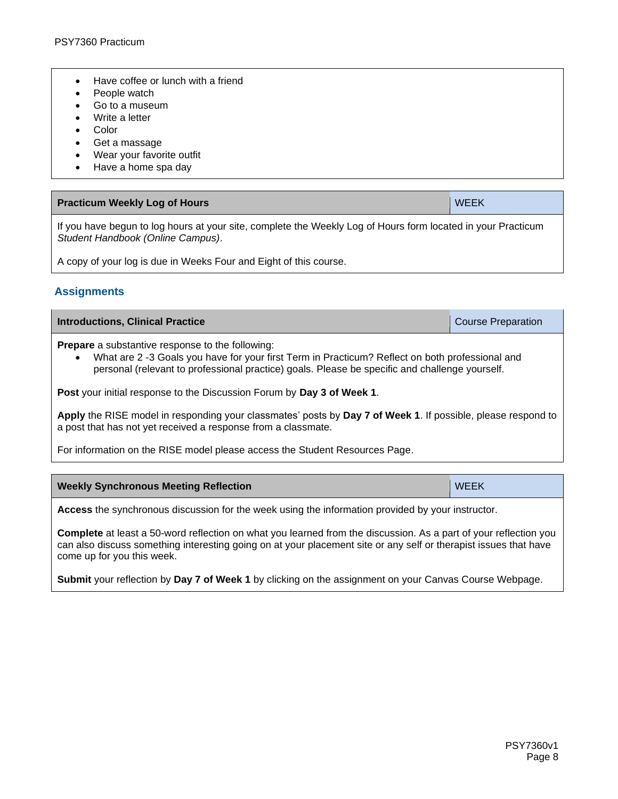- Have coffee or lunch with a friend
- People watch
- Go to a museum
- Write a letter
- **Color**
- Get a massage
- Wear your favorite outfit
- Have a home spa day

| <b>Practicum Weekly Log of Hours</b>                                                                         | WEEK |
|--------------------------------------------------------------------------------------------------------------|------|
| If you have begun to leg hours at your site, complete the Weekly Leg of Hours ferm located in your Practicum |      |

If you have begun to log hours at your site, complete the Weekly Log of Hours form located in your Practicum *Student Handbook (Online Campus)*.

A copy of your log is due in Weeks Four and Eight of this course.

#### **Assignments**

| <b>Introductions, Clinical Practice</b>                                                                                                                                                                                                                                   | <b>Course Preparation</b> |  |
|---------------------------------------------------------------------------------------------------------------------------------------------------------------------------------------------------------------------------------------------------------------------------|---------------------------|--|
| <b>Prepare</b> a substantive response to the following:<br>What are 2 -3 Goals you have for your first Term in Practicum? Reflect on both professional and<br>$\bullet$<br>personal (relevant to professional practice) goals. Please be specific and challenge yourself. |                           |  |
| <b>Post</b> your initial response to the Discussion Forum by Day 3 of Week 1.                                                                                                                                                                                             |                           |  |
| Apply the RISE model in responding your classmates' posts by Day 7 of Week 1. If possible, please respond to<br>a post that has not yet received a response from a classmate.                                                                                             |                           |  |
| For information on the RISE model please access the Student Resources Page.                                                                                                                                                                                               |                           |  |

| <b>Weekly Synchronous Meeting Reflection</b> | <b>WEEK</b> |
|----------------------------------------------|-------------|
|----------------------------------------------|-------------|

**Access** the synchronous discussion for the week using the information provided by your instructor.

**Complete** at least a 50-word reflection on what you learned from the discussion. As a part of your reflection you can also discuss something interesting going on at your placement site or any self or therapist issues that have come up for you this week.

**Submit** your reflection by **Day 7 of Week 1** by clicking on the assignment on your Canvas Course Webpage.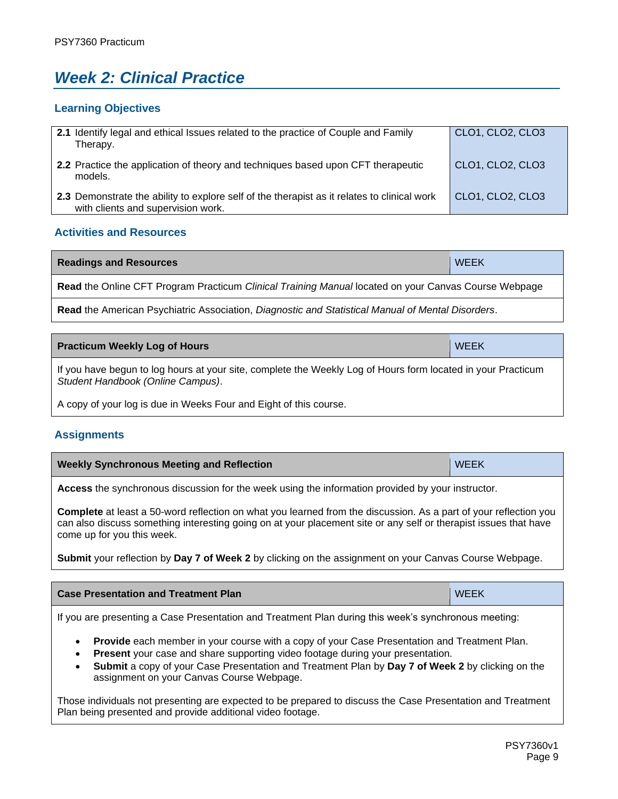# <span id="page-8-0"></span>*Week 2: Clinical Practice*

### **Learning Objectives**

| 2.1 Identify legal and ethical Issues related to the practice of Couple and Family<br>Therapy.                                    | CLO1, CLO2, CLO3 |
|-----------------------------------------------------------------------------------------------------------------------------------|------------------|
| 2.2 Practice the application of theory and techniques based upon CFT therapeutic<br>models.                                       | CLO1, CLO2, CLO3 |
| 2.3 Demonstrate the ability to explore self of the therapist as it relates to clinical work<br>with clients and supervision work. | CLO1, CLO2, CLO3 |

## **Activities and Resources**

| <b>Readings and Resources</b>                                                                        | <b>WEEK</b> |
|------------------------------------------------------------------------------------------------------|-------------|
| Read the Online CFT Program Practicum Clinical Training Manual located on your Canvas Course Webpage |             |
| Read the American Psychiatric Association, Diagnostic and Statistical Manual of Mental Disorders.    |             |
|                                                                                                      |             |
| <b>Practicum Weekly Log of Hours</b>                                                                 | <b>WEEK</b> |

If you have begun to log hours at your site, complete the Weekly Log of Hours form located in your Practicum *Student Handbook (Online Campus)*.

A copy of your log is due in Weeks Four and Eight of this course.

## **Assignments**

| <b>Weekly Synchronous Meeting and Reflection</b> | <b>WEEK</b> |
|--------------------------------------------------|-------------|
|                                                  |             |

**Access** the synchronous discussion for the week using the information provided by your instructor.

**Complete** at least a 50-word reflection on what you learned from the discussion. As a part of your reflection you can also discuss something interesting going on at your placement site or any self or therapist issues that have come up for you this week.

**Submit** your reflection by **Day 7 of Week 2** by clicking on the assignment on your Canvas Course Webpage.

| <b>Case Presentation and Treatment Plan</b>                                                          | <b>WEEK</b> |
|------------------------------------------------------------------------------------------------------|-------------|
| If you are presenting a Case Presentation and Treatment Plan during this week's synchronous meeting: |             |

- **Provide** each member in your course with a copy of your Case Presentation and Treatment Plan.
- **Present** your case and share supporting video footage during your presentation.
- **Submit** a copy of your Case Presentation and Treatment Plan by **Day 7 of Week 2** by clicking on the assignment on your Canvas Course Webpage.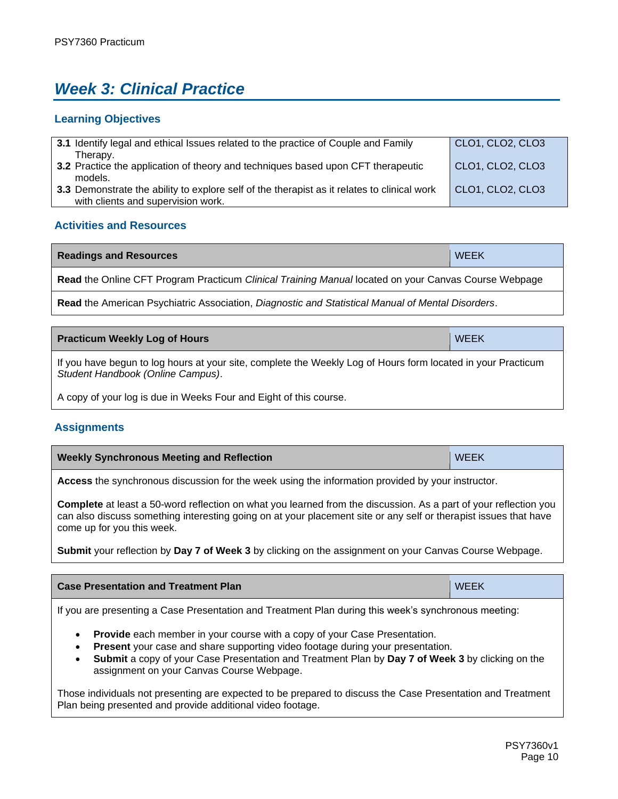# <span id="page-9-0"></span>*Week 3: Clinical Practice*

## **Learning Objectives**

| 3.1 Identify legal and ethical Issues related to the practice of Couple and Family           | CLO1, CLO2, CLO3        |  |
|----------------------------------------------------------------------------------------------|-------------------------|--|
| Therapy.<br>3.2 Practice the application of theory and techniques based upon CFT therapeutic | CLO1, CLO2, CLO3        |  |
| models.                                                                                      |                         |  |
| 3.3 Demonstrate the ability to explore self of the therapist as it relates to clinical work  | <b>CLO1, CLO2, CLO3</b> |  |
| with clients and supervision work.                                                           |                         |  |

## **Activities and Resources**

| <b>Readings and Resources</b>                                                                        | <b>WEEK</b> |
|------------------------------------------------------------------------------------------------------|-------------|
| Read the Online CFT Program Practicum Clinical Training Manual located on your Canvas Course Webpage |             |
| Read the American Psychiatric Association, Diagnostic and Statistical Manual of Mental Disorders.    |             |

**Practicum Weekly Log of Hours** WEEK **WEEK** If you have begun to log hours at your site, complete the Weekly Log of Hours form located in your Practicum *Student Handbook (Online Campus)*.

A copy of your log is due in Weeks Four and Eight of this course.

## **Assignments**

| <b>Weekly Synchronous Meeting and Reflection</b> | <b>WEEK</b> |
|--------------------------------------------------|-------------|
|                                                  |             |

**Access** the synchronous discussion for the week using the information provided by your instructor.

**Complete** at least a 50-word reflection on what you learned from the discussion. As a part of your reflection you can also discuss something interesting going on at your placement site or any self or therapist issues that have come up for you this week.

**Submit** your reflection by **Day 7 of Week 3** by clicking on the assignment on your Canvas Course Webpage.

| <b>Case Presentation and Treatment Plan</b>                                                          | <b>WEEK</b> |
|------------------------------------------------------------------------------------------------------|-------------|
| If you are presenting a Case Presentation and Treatment Plan during this week's synchronous meeting: |             |

- **Provide** each member in your course with a copy of your Case Presentation.
- **Present** your case and share supporting video footage during your presentation.
- **Submit** a copy of your Case Presentation and Treatment Plan by **Day 7 of Week 3** by clicking on the assignment on your Canvas Course Webpage.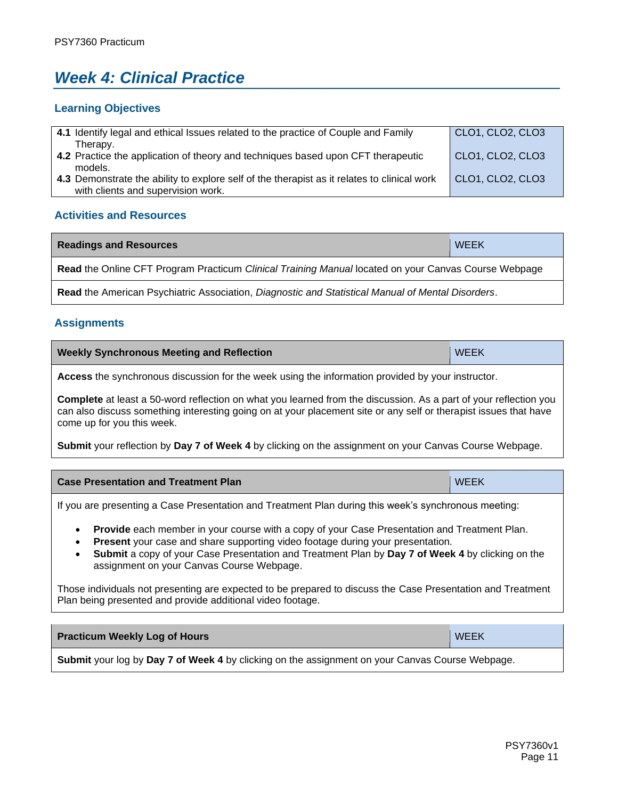# <span id="page-10-0"></span>*Week 4: Clinical Practice*

#### **Learning Objectives**

| 4.1 Identify legal and ethical Issues related to the practice of Couple and Family          | <b>CLO1, CLO2, CLO3</b> |
|---------------------------------------------------------------------------------------------|-------------------------|
| Therapy.                                                                                    |                         |
| 4.2 Practice the application of theory and techniques based upon CFT therapeutic            | CLO1, CLO2, CLO3        |
| models.                                                                                     |                         |
| 4.3 Demonstrate the ability to explore self of the therapist as it relates to clinical work | <b>CLO1, CLO2, CLO3</b> |
| with clients and supervision work.                                                          |                         |

## **Activities and Resources**

| <b>Readings and Resources</b>                                                                               | <b>WEEK</b> |
|-------------------------------------------------------------------------------------------------------------|-------------|
| <b>Read the Online CFT Program Practicum Clinical Training Manual located on your Canvas Course Webpage</b> |             |
| Read the American Psychiatric Association, Diagnostic and Statistical Manual of Mental Disorders.           |             |

## **Assignments**

| <b>Weekly Synchronous Meeting and Reflection</b> | <b>WEEK</b> |
|--------------------------------------------------|-------------|
|--------------------------------------------------|-------------|

**Access** the synchronous discussion for the week using the information provided by your instructor.

**Complete** at least a 50-word reflection on what you learned from the discussion. As a part of your reflection you can also discuss something interesting going on at your placement site or any self or therapist issues that have come up for you this week.

**Submit** your reflection by **Day 7 of Week 4** by clicking on the assignment on your Canvas Course Webpage.

| <b>WEEK</b><br>↑ Case Presentation and Treatment Plan |  |
|-------------------------------------------------------|--|
|-------------------------------------------------------|--|

If you are presenting a Case Presentation and Treatment Plan during this week's synchronous meeting:

- **Provide** each member in your course with a copy of your Case Presentation and Treatment Plan.
- **Present** your case and share supporting video footage during your presentation.
- **Submit** a copy of your Case Presentation and Treatment Plan by **Day 7 of Week 4** by clicking on the assignment on your Canvas Course Webpage.

| <b>Practicum Weekly Log of Hours</b>                                                            | <b>WEEK</b> |
|-------------------------------------------------------------------------------------------------|-------------|
| Submit your log by Day 7 of Week 4 by clicking on the assignment on your Canvas Course Webpage. |             |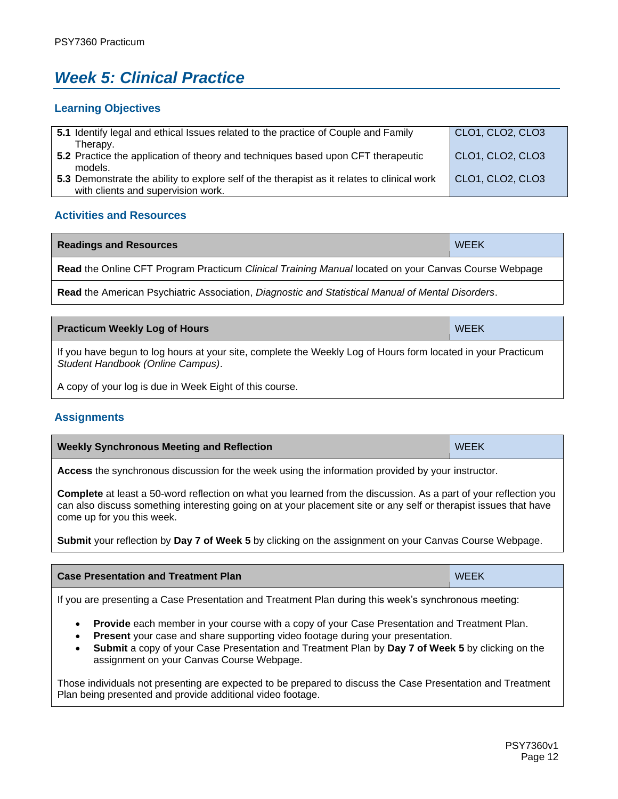# <span id="page-11-0"></span>*Week 5: Clinical Practice*

#### **Learning Objectives**

| 5.1 Identify legal and ethical Issues related to the practice of Couple and Family          | CLO1, CLO2, CLO3 |
|---------------------------------------------------------------------------------------------|------------------|
| Therapy.                                                                                    |                  |
| 5.2 Practice the application of theory and techniques based upon CFT therapeutic            | CLO1, CLO2, CLO3 |
| models.                                                                                     |                  |
| 5.3 Demonstrate the ability to explore self of the therapist as it relates to clinical work | CLO1, CLO2, CLO3 |
| with clients and supervision work.                                                          |                  |

## **Activities and Resources**

| <b>Readings and Resources</b>                                                                        | <b>WEEK</b> |  |
|------------------------------------------------------------------------------------------------------|-------------|--|
| Read the Online CFT Program Practicum Clinical Training Manual located on your Canvas Course Webpage |             |  |
|                                                                                                      |             |  |

**Read** the American Psychiatric Association, *Diagnostic and Statistical Manual of Mental Disorders*.

| <b>Practicum Weekly Log of Hours</b>                                                                                                              | <b>WEEK</b> |
|---------------------------------------------------------------------------------------------------------------------------------------------------|-------------|
| If you have begun to log hours at your site, complete the Weekly Log of Hours form located in your Practicum<br>Student Handbook (Online Campus). |             |
| A copy of your log is due in Week Eight of this course.                                                                                           |             |

## **Assignments**

| <b>Weekly Synchronous Meeting and Reflection</b> | <b>WEEK</b> |
|--------------------------------------------------|-------------|
|--------------------------------------------------|-------------|

**Access** the synchronous discussion for the week using the information provided by your instructor.

**Complete** at least a 50-word reflection on what you learned from the discussion. As a part of your reflection you can also discuss something interesting going on at your placement site or any self or therapist issues that have come up for you this week.

**Submit** your reflection by **Day 7 of Week 5** by clicking on the assignment on your Canvas Course Webpage.

| <b>Case Presentation and Treatment Plan</b> | <b>WEEK</b> |
|---------------------------------------------|-------------|
|                                             |             |

If you are presenting a Case Presentation and Treatment Plan during this week's synchronous meeting:

- **Provide** each member in your course with a copy of your Case Presentation and Treatment Plan.
- **Present** your case and share supporting video footage during your presentation.
- **Submit** a copy of your Case Presentation and Treatment Plan by **Day 7 of Week 5** by clicking on the assignment on your Canvas Course Webpage.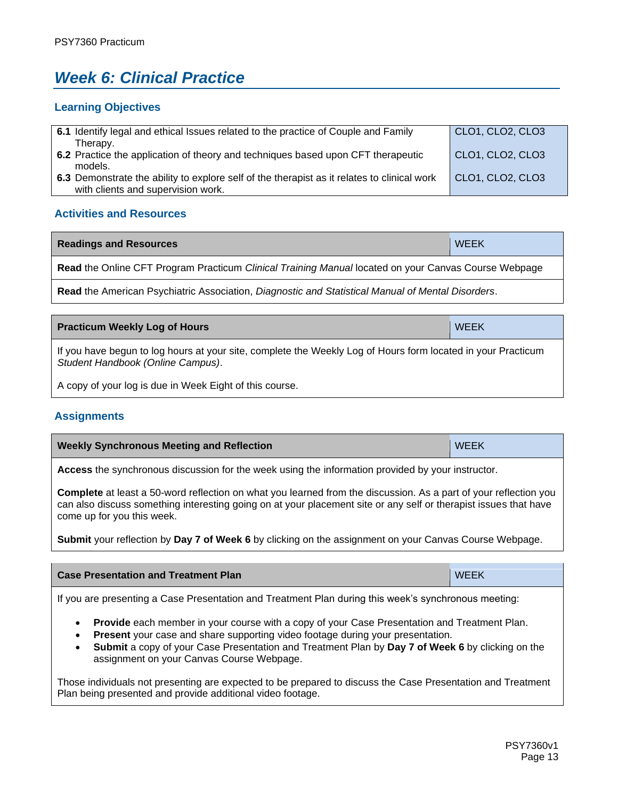# <span id="page-12-0"></span>*Week 6: Clinical Practice*

#### **Learning Objectives**

| 6.1 Identify legal and ethical Issues related to the practice of Couple and Family          | CLO1, CLO2, CLO3 |
|---------------------------------------------------------------------------------------------|------------------|
| Therapy.                                                                                    |                  |
| 6.2 Practice the application of theory and techniques based upon CFT therapeutic            | CLO1, CLO2, CLO3 |
| models.                                                                                     |                  |
| 6.3 Demonstrate the ability to explore self of the therapist as it relates to clinical work | CLO1, CLO2, CLO3 |
| with clients and supervision work.                                                          |                  |

## **Activities and Resources**

| <b>Readings and Resources</b>                                                                        | <b>WEEK</b> |
|------------------------------------------------------------------------------------------------------|-------------|
| Read the Online CFT Program Practicum Clinical Training Manual located on your Canvas Course Webpage |             |

**Read** the American Psychiatric Association, *Diagnostic and Statistical Manual of Mental Disorders*.

**Practicum Weekly Log of Hours** WEEK **WEEK** 

| If you have begun to log hours at your site, complete the Weekly Log of Hours form located in your Practicum<br>Student Handbook (Online Campus). |  |
|---------------------------------------------------------------------------------------------------------------------------------------------------|--|

A copy of your log is due in Week Eight of this course.

## **Assignments**

| <b>Weekly Synchronous Meeting and Reflection</b> | <b>WEEK</b> |
|--------------------------------------------------|-------------|
|--------------------------------------------------|-------------|

**Access** the synchronous discussion for the week using the information provided by your instructor.

**Complete** at least a 50-word reflection on what you learned from the discussion. As a part of your reflection you can also discuss something interesting going on at your placement site or any self or therapist issues that have come up for you this week.

**Submit** your reflection by **Day 7 of Week 6** by clicking on the assignment on your Canvas Course Webpage.

| <b>Case Presentation and Treatment Plan</b>                                                                                                                                                                                        | <b>WEEK</b> |
|------------------------------------------------------------------------------------------------------------------------------------------------------------------------------------------------------------------------------------|-------------|
| $\mathcal{L}$ . The contract of the contract of the contract of the contract of the contract of the contract of the contract of the contract of the contract of the contract of the contract of the contract of the contract of th |             |

If you are presenting a Case Presentation and Treatment Plan during this week's synchronous meeting:

- **Provide** each member in your course with a copy of your Case Presentation and Treatment Plan.
- **Present** your case and share supporting video footage during your presentation.
- **Submit** a copy of your Case Presentation and Treatment Plan by **Day 7 of Week 6** by clicking on the assignment on your Canvas Course Webpage.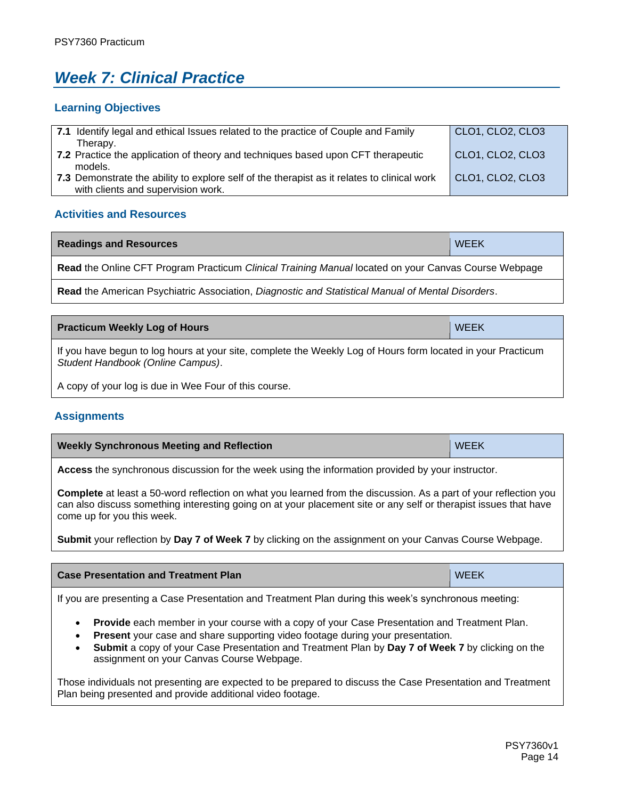# <span id="page-13-0"></span>*Week 7: Clinical Practice*

### **Learning Objectives**

| 7.1 Identify legal and ethical Issues related to the practice of Couple and Family          | CLO1, CLO2, CLO3 |
|---------------------------------------------------------------------------------------------|------------------|
| Therapy.                                                                                    |                  |
| 7.2 Practice the application of theory and techniques based upon CFT therapeutic            | CLO1, CLO2, CLO3 |
| models.                                                                                     |                  |
| 7.3 Demonstrate the ability to explore self of the therapist as it relates to clinical work | CLO1, CLO2, CLO3 |
| with clients and supervision work.                                                          |                  |

## **Activities and Resources**

| <b>Readings and Resources</b>                                                                        | <b>WEEK</b> |  |  |
|------------------------------------------------------------------------------------------------------|-------------|--|--|
| Read the Online CFT Program Practicum Clinical Training Manual located on your Canvas Course Webpage |             |  |  |
|                                                                                                      |             |  |  |

**Read** the American Psychiatric Association, *Diagnostic and Statistical Manual of Mental Disorders*.

| <b>Practicum Weekly Log of Hours</b>                                                                                                                                                                                              | <b>WEEK</b> |  |  |
|-----------------------------------------------------------------------------------------------------------------------------------------------------------------------------------------------------------------------------------|-------------|--|--|
| If you have begun to log hours at your site, complete the Weekly Log of Hours form located in your Practicum<br>Student Handbook (Online Campus).                                                                                 |             |  |  |
| $\mathbf{A}$ , and a set of the set of the set of the set of the set of the set of the set of the set of the set of the set of the set of the set of the set of the set of the set of the set of the set of the set of the set of |             |  |  |

A copy of your log is due in Wee Four of this course.

## **Assignments**

| <b>Weekly Synchronous Meeting and Reflection</b> | <b>WEEK</b> |
|--------------------------------------------------|-------------|
|--------------------------------------------------|-------------|

**Access** the synchronous discussion for the week using the information provided by your instructor.

**Complete** at least a 50-word reflection on what you learned from the discussion. As a part of your reflection you can also discuss something interesting going on at your placement site or any self or therapist issues that have come up for you this week.

**Submit** your reflection by **Day 7 of Week 7** by clicking on the assignment on your Canvas Course Webpage.

| <b>Case Presentation and Treatment Plan</b> | <b>WEEK</b> |
|---------------------------------------------|-------------|
|                                             |             |

If you are presenting a Case Presentation and Treatment Plan during this week's synchronous meeting:

- **Provide** each member in your course with a copy of your Case Presentation and Treatment Plan.
- **Present** your case and share supporting video footage during your presentation.
- **Submit** a copy of your Case Presentation and Treatment Plan by **Day 7 of Week 7** by clicking on the assignment on your Canvas Course Webpage.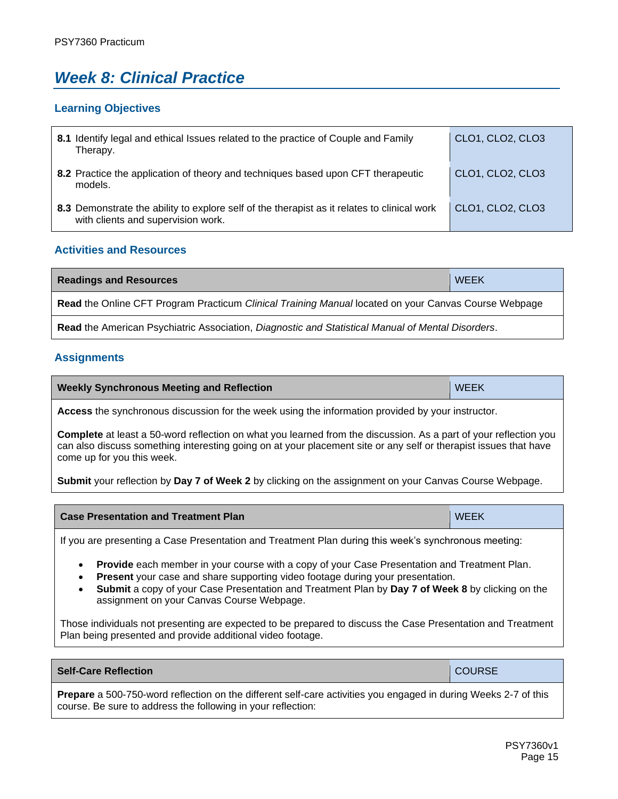# <span id="page-14-0"></span>*Week 8: Clinical Practice*

## **Learning Objectives**

| 8.1 Identify legal and ethical Issues related to the practice of Couple and Family<br>Therapy.                                    | CLO1, CLO2, CLO3 |
|-----------------------------------------------------------------------------------------------------------------------------------|------------------|
| 8.2 Practice the application of theory and techniques based upon CFT therapeutic<br>models.                                       | CLO1, CLO2, CLO3 |
| 8.3 Demonstrate the ability to explore self of the therapist as it relates to clinical work<br>with clients and supervision work. | CLO1, CLO2, CLO3 |

## **Activities and Resources**

| <b>Readings and Resources</b>                                                                        | <b>WEEK</b> |  |
|------------------------------------------------------------------------------------------------------|-------------|--|
| Read the Online CFT Program Practicum Clinical Training Manual located on your Canvas Course Webpage |             |  |
| Read the American Psychiatric Association, Diagnostic and Statistical Manual of Mental Disorders.    |             |  |

## **Assignments**

| <b>Weekly Synchronous Meeting and Reflection</b> | <b>WEEK</b> |
|--------------------------------------------------|-------------|
|--------------------------------------------------|-------------|

**Access** the synchronous discussion for the week using the information provided by your instructor.

**Complete** at least a 50-word reflection on what you learned from the discussion. As a part of your reflection you can also discuss something interesting going on at your placement site or any self or therapist issues that have come up for you this week.

**Submit** your reflection by **Day 7 of Week 2** by clicking on the assignment on your Canvas Course Webpage.

| <b>Case Presentation and Treatment Plan</b> | <b>WEEK</b> |
|---------------------------------------------|-------------|
|---------------------------------------------|-------------|

If you are presenting a Case Presentation and Treatment Plan during this week's synchronous meeting:

- **Provide** each member in your course with a copy of your Case Presentation and Treatment Plan.
- **Present** your case and share supporting video footage during your presentation.
- **Submit** a copy of your Case Presentation and Treatment Plan by **Day 7 of Week 8** by clicking on the assignment on your Canvas Course Webpage.

Those individuals not presenting are expected to be prepared to discuss the Case Presentation and Treatment Plan being presented and provide additional video footage.

#### **Self-Care Reflection COURSE**

**Prepare** a 500-750-word reflection on the different self-care activities you engaged in during Weeks 2-7 of this course. Be sure to address the following in your reflection: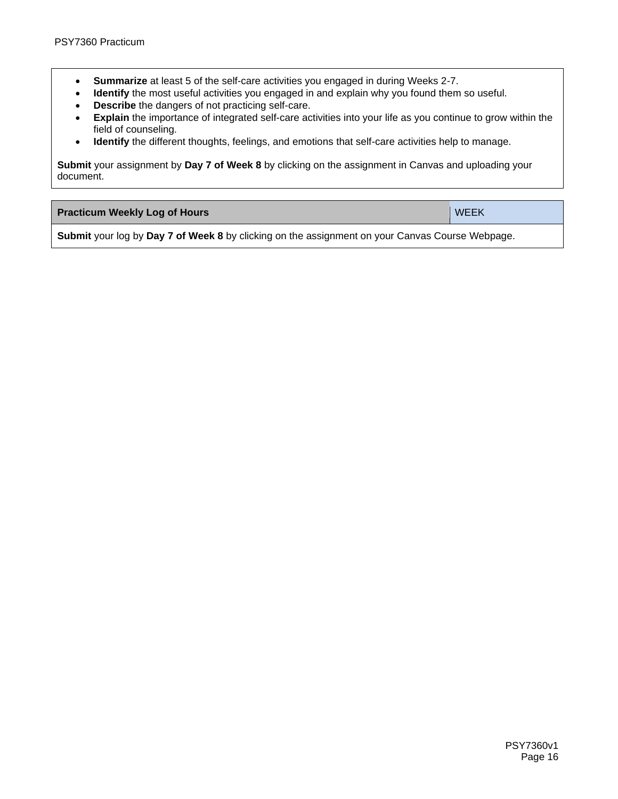- **Summarize** at least 5 of the self-care activities you engaged in during Weeks 2-7.
- **Identify** the most useful activities you engaged in and explain why you found them so useful.
- **Describe** the dangers of not practicing self-care.
- **Explain** the importance of integrated self-care activities into your life as you continue to grow within the field of counseling.
- **Identify** the different thoughts, feelings, and emotions that self-care activities help to manage.

**Submit** your assignment by **Day 7 of Week 8** by clicking on the assignment in Canvas and uploading your document.

| <b>Practicum Weekly Log of Hours</b> | <b>WEEK</b> |
|--------------------------------------|-------------|
|                                      |             |

**Submit** your log by **Day 7 of Week 8** by clicking on the assignment on your Canvas Course Webpage.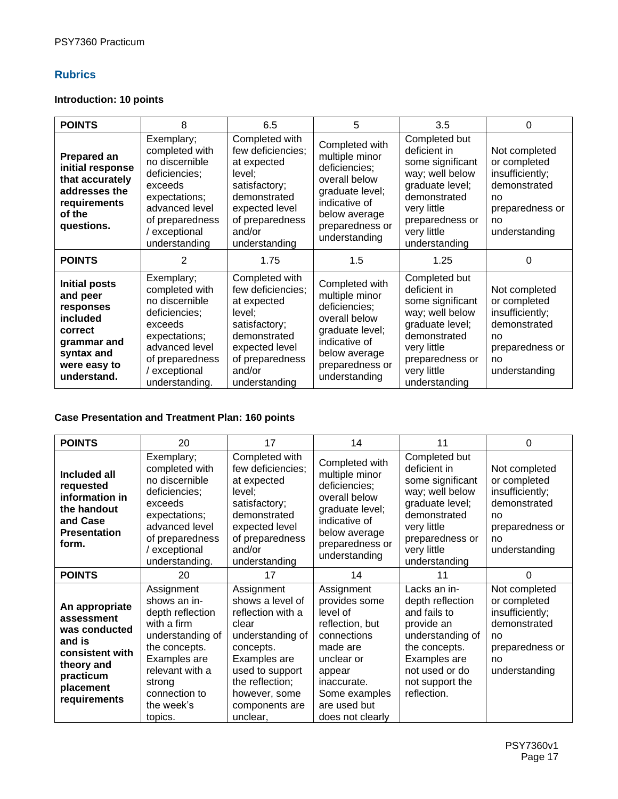## **Rubrics**

## **Introduction: 10 points**

| <b>POINTS</b>                                                                                                                    | 8                                                                                                                                                                   | 6.5                                                                                                                                                           | 5                                                                                                                                                           | 3.5                                                                                                                                                                       | 0                                                                                                                |
|----------------------------------------------------------------------------------------------------------------------------------|---------------------------------------------------------------------------------------------------------------------------------------------------------------------|---------------------------------------------------------------------------------------------------------------------------------------------------------------|-------------------------------------------------------------------------------------------------------------------------------------------------------------|---------------------------------------------------------------------------------------------------------------------------------------------------------------------------|------------------------------------------------------------------------------------------------------------------|
| <b>Prepared an</b><br>initial response<br>that accurately<br>addresses the<br>requirements<br>of the<br>questions.               | Exemplary;<br>completed with<br>no discernible<br>deficiencies;<br>exceeds<br>expectations;<br>advanced level<br>of preparedness<br>/ exceptional<br>understanding  | Completed with<br>few deficiencies;<br>at expected<br>level;<br>satisfactory;<br>demonstrated<br>expected level<br>of preparedness<br>and/or<br>understanding | Completed with<br>multiple minor<br>deficiencies;<br>overall below<br>graduate level;<br>indicative of<br>below average<br>preparedness or<br>understanding | Completed but<br>deficient in<br>some significant<br>way; well below<br>graduate level;<br>demonstrated<br>very little<br>preparedness or<br>very little<br>understanding | Not completed<br>or completed<br>insufficiently;<br>demonstrated<br>no<br>preparedness or<br>no<br>understanding |
| <b>POINTS</b>                                                                                                                    | 2                                                                                                                                                                   | 1.75                                                                                                                                                          | 1.5                                                                                                                                                         | 1.25                                                                                                                                                                      | 0                                                                                                                |
| <b>Initial posts</b><br>and peer<br>responses<br>included<br>correct<br>grammar and<br>syntax and<br>were easy to<br>understand. | Exemplary;<br>completed with<br>no discernible<br>deficiencies;<br>exceeds<br>expectations;<br>advanced level<br>of preparedness<br>/ exceptional<br>understanding. | Completed with<br>few deficiencies;<br>at expected<br>level;<br>satisfactory;<br>demonstrated<br>expected level<br>of preparedness<br>and/or<br>understanding | Completed with<br>multiple minor<br>deficiencies;<br>overall below<br>graduate level;<br>indicative of<br>below average<br>preparedness or<br>understanding | Completed but<br>deficient in<br>some significant<br>way; well below<br>graduate level;<br>demonstrated<br>very little<br>preparedness or<br>very little<br>understanding | Not completed<br>or completed<br>insufficiently;<br>demonstrated<br>no<br>preparedness or<br>no<br>understanding |

## **Case Presentation and Treatment Plan: 160 points**

| <b>POINTS</b>                                                                                                                      | 20                                                                                                                                                                                        | 17                                                                                                                                                                                                 | 14                                                                                                                                                                                | 11                                                                                                                                                                        | $\Omega$                                                                                                         |
|------------------------------------------------------------------------------------------------------------------------------------|-------------------------------------------------------------------------------------------------------------------------------------------------------------------------------------------|----------------------------------------------------------------------------------------------------------------------------------------------------------------------------------------------------|-----------------------------------------------------------------------------------------------------------------------------------------------------------------------------------|---------------------------------------------------------------------------------------------------------------------------------------------------------------------------|------------------------------------------------------------------------------------------------------------------|
| Included all<br>requested<br>information in<br>the handout<br>and Case<br><b>Presentation</b><br>form.                             | Exemplary;<br>completed with<br>no discernible<br>deficiencies;<br>exceeds<br>expectations;<br>advanced level<br>of preparedness<br>/ exceptional<br>understanding.                       | Completed with<br>few deficiencies;<br>at expected<br>level;<br>satisfactory;<br>demonstrated<br>expected level<br>of preparedness<br>and/or<br>understanding                                      | Completed with<br>multiple minor<br>deficiencies;<br>overall below<br>graduate level;<br>indicative of<br>below average<br>preparedness or<br>understanding                       | Completed but<br>deficient in<br>some significant<br>way; well below<br>graduate level;<br>demonstrated<br>very little<br>preparedness or<br>very little<br>understanding | Not completed<br>or completed<br>insufficiently;<br>demonstrated<br>no<br>preparedness or<br>no<br>understanding |
| <b>POINTS</b>                                                                                                                      | 20                                                                                                                                                                                        | 17                                                                                                                                                                                                 | 14                                                                                                                                                                                | 11                                                                                                                                                                        | 0                                                                                                                |
| An appropriate<br>assessment<br>was conducted<br>and is<br>consistent with<br>theory and<br>practicum<br>placement<br>requirements | Assignment<br>shows an in-<br>depth reflection<br>with a firm<br>understanding of<br>the concepts.<br>Examples are<br>relevant with a<br>strong<br>connection to<br>the week's<br>topics. | Assignment<br>shows a level of<br>reflection with a<br>clear<br>understanding of<br>concepts.<br>Examples are<br>used to support<br>the reflection;<br>however, some<br>components are<br>unclear, | Assignment<br>provides some<br>level of<br>reflection, but<br>connections<br>made are<br>unclear or<br>appear<br>inaccurate.<br>Some examples<br>are used but<br>does not clearly | Lacks an in-<br>depth reflection<br>and fails to<br>provide an<br>understanding of<br>the concepts.<br>Examples are<br>not used or do<br>not support the<br>reflection.   | Not completed<br>or completed<br>insufficiently;<br>demonstrated<br>no<br>preparedness or<br>no<br>understanding |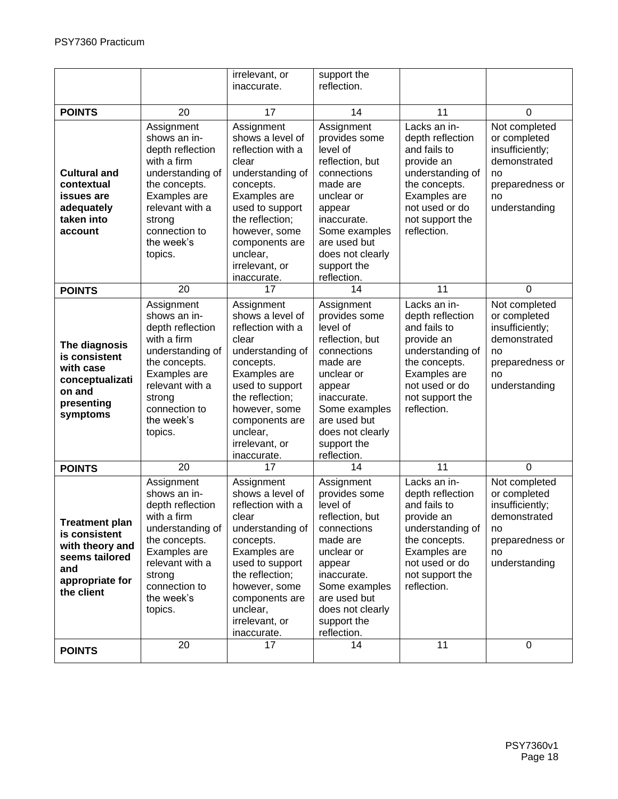|                                                                                                                     |                                                                                                                                                                                           | irrelevant, or<br>inaccurate.                                                                                                                                                                                                       | support the<br>reflection.                                                                                                                                                                                      |                                                                                                                                                                         |                                                                                                                  |
|---------------------------------------------------------------------------------------------------------------------|-------------------------------------------------------------------------------------------------------------------------------------------------------------------------------------------|-------------------------------------------------------------------------------------------------------------------------------------------------------------------------------------------------------------------------------------|-----------------------------------------------------------------------------------------------------------------------------------------------------------------------------------------------------------------|-------------------------------------------------------------------------------------------------------------------------------------------------------------------------|------------------------------------------------------------------------------------------------------------------|
|                                                                                                                     |                                                                                                                                                                                           |                                                                                                                                                                                                                                     |                                                                                                                                                                                                                 |                                                                                                                                                                         |                                                                                                                  |
| <b>POINTS</b>                                                                                                       | 20                                                                                                                                                                                        | 17                                                                                                                                                                                                                                  | 14                                                                                                                                                                                                              | 11                                                                                                                                                                      | 0                                                                                                                |
| <b>Cultural and</b><br>contextual<br>issues are<br>adequately<br>taken into<br>account                              | Assignment<br>shows an in-<br>depth reflection<br>with a firm<br>understanding of<br>the concepts.<br>Examples are<br>relevant with a<br>strong<br>connection to<br>the week's<br>topics. | Assignment<br>shows a level of<br>reflection with a<br>clear<br>understanding of<br>concepts.<br>Examples are<br>used to support<br>the reflection;<br>however, some<br>components are<br>unclear,<br>irrelevant, or<br>inaccurate. | Assignment<br>provides some<br>level of<br>reflection, but<br>connections<br>made are<br>unclear or<br>appear<br>inaccurate.<br>Some examples<br>are used but<br>does not clearly<br>support the<br>reflection. | Lacks an in-<br>depth reflection<br>and fails to<br>provide an<br>understanding of<br>the concepts.<br>Examples are<br>not used or do<br>not support the<br>reflection. | Not completed<br>or completed<br>insufficiently;<br>demonstrated<br>no<br>preparedness or<br>no<br>understanding |
| <b>POINTS</b>                                                                                                       | 20                                                                                                                                                                                        | 17                                                                                                                                                                                                                                  | 14                                                                                                                                                                                                              | 11                                                                                                                                                                      | $\mathbf 0$                                                                                                      |
| The diagnosis<br>is consistent<br>with case<br>conceptualizati<br>on and<br>presenting<br>symptoms                  | Assignment<br>shows an in-<br>depth reflection<br>with a firm<br>understanding of<br>the concepts.<br>Examples are<br>relevant with a<br>strong<br>connection to<br>the week's<br>topics. | Assignment<br>shows a level of<br>reflection with a<br>clear<br>understanding of<br>concepts.<br>Examples are<br>used to support<br>the reflection;<br>however, some<br>components are<br>unclear,<br>irrelevant, or<br>inaccurate. | Assignment<br>provides some<br>level of<br>reflection, but<br>connections<br>made are<br>unclear or<br>appear<br>inaccurate.<br>Some examples<br>are used but<br>does not clearly<br>support the<br>reflection. | Lacks an in-<br>depth reflection<br>and fails to<br>provide an<br>understanding of<br>the concepts.<br>Examples are<br>not used or do<br>not support the<br>reflection. | Not completed<br>or completed<br>insufficiently;<br>demonstrated<br>no<br>preparedness or<br>no<br>understanding |
| <b>POINTS</b>                                                                                                       | 20                                                                                                                                                                                        | 17                                                                                                                                                                                                                                  | 14                                                                                                                                                                                                              | 11                                                                                                                                                                      | $\mathbf 0$                                                                                                      |
| <b>Treatment plan</b><br>is consistent<br>with theory and<br>seems tailored<br>and<br>appropriate for<br>the client | Assignment<br>shows an in-<br>depth reflection<br>with a firm<br>understanding of<br>the concepts.<br>Examples are<br>relevant with a<br>strong<br>connection to<br>the week's<br>topics. | Assignment<br>shows a level of<br>reflection with a<br>clear<br>understanding of<br>concepts.<br>Examples are<br>used to support<br>the reflection;<br>however, some<br>components are<br>unclear,<br>irrelevant, or<br>inaccurate. | Assignment<br>provides some<br>level of<br>reflection, but<br>connections<br>made are<br>unclear or<br>appear<br>inaccurate.<br>Some examples<br>are used but<br>does not clearly<br>support the<br>reflection. | Lacks an in-<br>depth reflection<br>and fails to<br>provide an<br>understanding of<br>the concepts.<br>Examples are<br>not used or do<br>not support the<br>reflection. | Not completed<br>or completed<br>insufficiently;<br>demonstrated<br>no<br>preparedness or<br>no<br>understanding |
| <b>POINTS</b>                                                                                                       | 20                                                                                                                                                                                        | 17                                                                                                                                                                                                                                  | 14                                                                                                                                                                                                              | 11                                                                                                                                                                      | $\mathbf 0$                                                                                                      |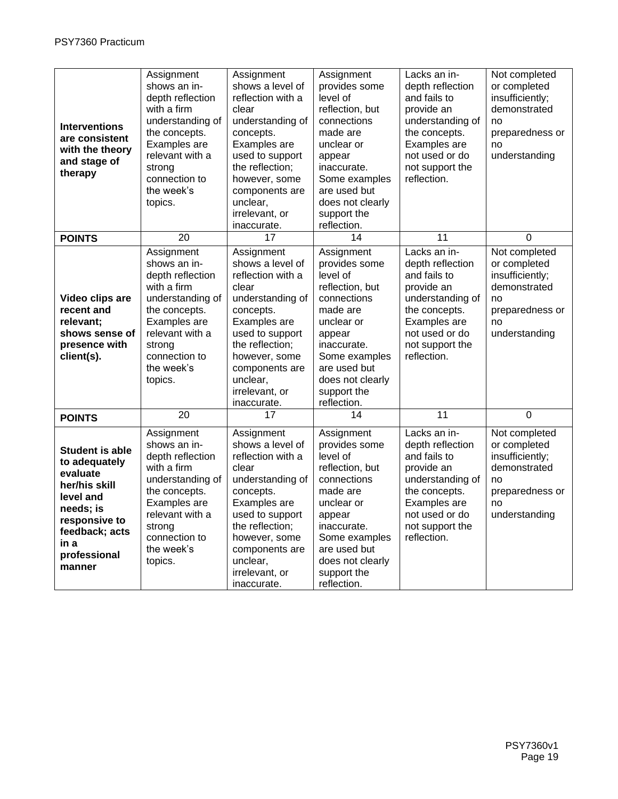| <b>Interventions</b><br>are consistent<br>with the theory<br>and stage of                                                                                           | Assignment<br>shows an in-<br>depth reflection<br>with a firm<br>understanding of<br>the concepts.<br>Examples are<br>relevant with a                                                     | Assignment<br>shows a level of<br>reflection with a<br>clear<br>understanding of<br>concepts.<br>Examples are<br>used to support                                                                                                    | Assignment<br>provides some<br>level of<br>reflection, but<br>connections<br>made are<br>unclear or<br>appear                                                                                                   | Lacks an in-<br>depth reflection<br>and fails to<br>provide an<br>understanding of<br>the concepts.<br>Examples are<br>not used or do                                   | Not completed<br>or completed<br>insufficiently;<br>demonstrated<br>no<br>preparedness or<br>no<br>understanding |
|---------------------------------------------------------------------------------------------------------------------------------------------------------------------|-------------------------------------------------------------------------------------------------------------------------------------------------------------------------------------------|-------------------------------------------------------------------------------------------------------------------------------------------------------------------------------------------------------------------------------------|-----------------------------------------------------------------------------------------------------------------------------------------------------------------------------------------------------------------|-------------------------------------------------------------------------------------------------------------------------------------------------------------------------|------------------------------------------------------------------------------------------------------------------|
| therapy                                                                                                                                                             | strong<br>connection to<br>the week's<br>topics.                                                                                                                                          | the reflection;<br>however, some<br>components are<br>unclear,<br>irrelevant, or<br>inaccurate.                                                                                                                                     | inaccurate.<br>Some examples<br>are used but<br>does not clearly<br>support the<br>reflection.                                                                                                                  | not support the<br>reflection.                                                                                                                                          |                                                                                                                  |
| <b>POINTS</b>                                                                                                                                                       | $\overline{20}$                                                                                                                                                                           | 17                                                                                                                                                                                                                                  | 14                                                                                                                                                                                                              | 11                                                                                                                                                                      | $\mathbf 0$                                                                                                      |
| Video clips are<br>recent and<br>relevant;<br>shows sense of<br>presence with<br>client(s).                                                                         | Assignment<br>shows an in-<br>depth reflection<br>with a firm<br>understanding of<br>the concepts.<br>Examples are<br>relevant with a<br>strong<br>connection to<br>the week's<br>topics. | Assignment<br>shows a level of<br>reflection with a<br>clear<br>understanding of<br>concepts.<br>Examples are<br>used to support<br>the reflection;<br>however, some<br>components are<br>unclear,<br>irrelevant, or<br>inaccurate. | Assignment<br>provides some<br>level of<br>reflection, but<br>connections<br>made are<br>unclear or<br>appear<br>inaccurate.<br>Some examples<br>are used but<br>does not clearly<br>support the<br>reflection. | Lacks an in-<br>depth reflection<br>and fails to<br>provide an<br>understanding of<br>the concepts.<br>Examples are<br>not used or do<br>not support the<br>reflection. | Not completed<br>or completed<br>insufficiently;<br>demonstrated<br>no<br>preparedness or<br>no<br>understanding |
| <b>POINTS</b>                                                                                                                                                       | $\overline{20}$                                                                                                                                                                           | 17                                                                                                                                                                                                                                  | $\overline{14}$                                                                                                                                                                                                 | 11                                                                                                                                                                      | $\overline{0}$                                                                                                   |
| <b>Student is able</b><br>to adequately<br>evaluate<br>her/his skill<br>level and<br>needs; is<br>responsive to<br>feedback; acts<br>in a<br>professional<br>manner | Assignment<br>shows an in-<br>depth reflection<br>with a firm<br>understanding of<br>the concepts.<br>Examples are<br>relevant with a<br>strong<br>connection to<br>the week's<br>topics. | Assignment<br>shows a level of<br>reflection with a<br>clear<br>understanding of<br>concepts.<br>Examples are<br>used to support<br>the reflection;<br>however, some<br>components are<br>unclear,<br>irrelevant, or<br>inaccurate. | Assignment<br>provides some<br>level of<br>reflection, but<br>connections<br>made are<br>unclear or<br>appear<br>inaccurate.<br>Some examples<br>are used but<br>does not clearly<br>support the<br>reflection. | Lacks an in-<br>depth reflection<br>and fails to<br>provide an<br>understanding of<br>the concepts.<br>Examples are<br>not used or do<br>not support the<br>reflection. | Not completed<br>or completed<br>insufficiently;<br>demonstrated<br>no<br>preparedness or<br>no<br>understanding |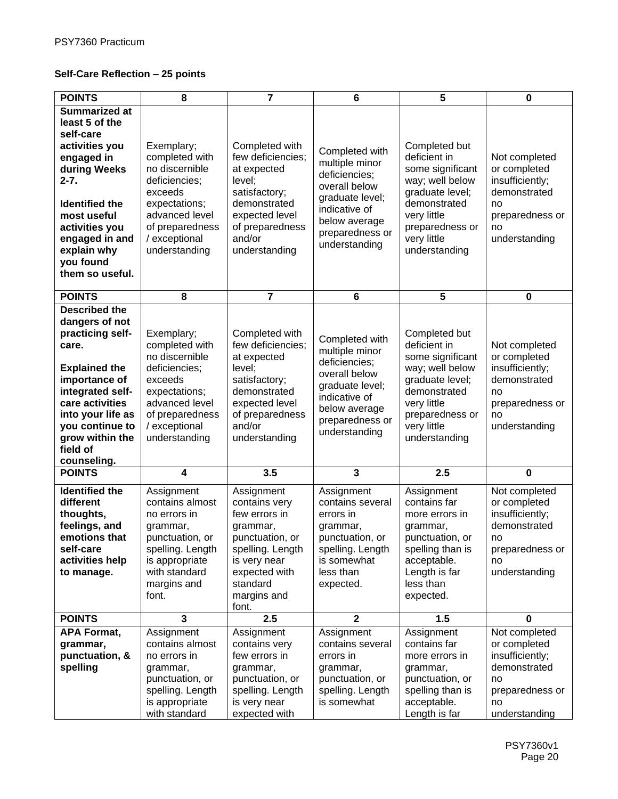## **Self-Care Reflection – 25 points**

| <b>POINTS</b>                                                                                                                                                                                                                              | 8                                                                                                                                                                  | $\overline{7}$                                                                                                                                                       | 6                                                                                                                                                           | 5                                                                                                                                                                         | 0                                                                                                                |
|--------------------------------------------------------------------------------------------------------------------------------------------------------------------------------------------------------------------------------------------|--------------------------------------------------------------------------------------------------------------------------------------------------------------------|----------------------------------------------------------------------------------------------------------------------------------------------------------------------|-------------------------------------------------------------------------------------------------------------------------------------------------------------|---------------------------------------------------------------------------------------------------------------------------------------------------------------------------|------------------------------------------------------------------------------------------------------------------|
| <b>Summarized at</b><br>least 5 of the<br>self-care<br>activities you<br>engaged in<br>during Weeks<br>$2 - 7.$<br><b>Identified the</b><br>most useful<br>activities you<br>engaged in and<br>explain why<br>you found<br>them so useful. | Exemplary;<br>completed with<br>no discernible<br>deficiencies;<br>exceeds<br>expectations;<br>advanced level<br>of preparedness<br>/ exceptional<br>understanding | Completed with<br>few deficiencies;<br>at expected<br>level;<br>satisfactory;<br>demonstrated<br>expected level<br>of preparedness<br>and/or<br>understanding        | Completed with<br>multiple minor<br>deficiencies;<br>overall below<br>graduate level;<br>indicative of<br>below average<br>preparedness or<br>understanding | Completed but<br>deficient in<br>some significant<br>way; well below<br>graduate level;<br>demonstrated<br>very little<br>preparedness or<br>very little<br>understanding | Not completed<br>or completed<br>insufficiently;<br>demonstrated<br>no<br>preparedness or<br>no<br>understanding |
| <b>POINTS</b>                                                                                                                                                                                                                              | 8                                                                                                                                                                  | $\overline{7}$                                                                                                                                                       | 6                                                                                                                                                           | 5                                                                                                                                                                         | 0                                                                                                                |
| <b>Described the</b><br>dangers of not<br>practicing self-<br>care.<br><b>Explained the</b><br>importance of<br>integrated self-<br>care activities<br>into your life as<br>you continue to<br>grow within the<br>field of<br>counseling.  | Exemplary;<br>completed with<br>no discernible<br>deficiencies;<br>exceeds<br>expectations;<br>advanced level<br>of preparedness<br>/ exceptional<br>understanding | Completed with<br>few deficiencies:<br>at expected<br>level;<br>satisfactory;<br>demonstrated<br>expected level<br>of preparedness<br>and/or<br>understanding        | Completed with<br>multiple minor<br>deficiencies;<br>overall below<br>graduate level;<br>indicative of<br>below average<br>preparedness or<br>understanding | Completed but<br>deficient in<br>some significant<br>way; well below<br>graduate level;<br>demonstrated<br>very little<br>preparedness or<br>very little<br>understanding | Not completed<br>or completed<br>insufficiently;<br>demonstrated<br>no<br>preparedness or<br>no<br>understanding |
| <b>POINTS</b>                                                                                                                                                                                                                              | 4                                                                                                                                                                  | 3.5                                                                                                                                                                  | 3                                                                                                                                                           | 2.5                                                                                                                                                                       | $\mathbf 0$                                                                                                      |
| <b>Identified the</b><br>different<br>thoughts,<br>feelings, and<br>emotions that<br>self-care<br>activities help<br>to manage.                                                                                                            | Assignment<br>contains almost<br>no errors in<br>grammar,<br>punctuation, or<br>spelling. Length<br>is appropriate<br>with standard<br>margins and<br>font.        | Assignment<br>contains very<br>few errors in<br>grammar,<br>punctuation, or<br>spelling. Length<br>is very near<br>expected with<br>standard<br>margins and<br>font. | Assignment<br>contains several<br>errors in<br>grammar,<br>punctuation, or<br>spelling. Length<br>is somewhat<br>less than<br>expected.                     | Assignment<br>contains far<br>more errors in<br>grammar,<br>punctuation, or<br>spelling than is<br>acceptable.<br>Length is far<br>less than<br>expected.                 | Not completed<br>or completed<br>insufficiently;<br>demonstrated<br>no<br>preparedness or<br>no<br>understanding |
| <b>POINTS</b>                                                                                                                                                                                                                              | $\overline{\mathbf{3}}$                                                                                                                                            | 2.5                                                                                                                                                                  | $\overline{2}$                                                                                                                                              | 1.5                                                                                                                                                                       | $\mathbf 0$                                                                                                      |
| <b>APA Format,</b><br>grammar,<br>punctuation, &<br>spelling                                                                                                                                                                               | Assignment<br>contains almost<br>no errors in<br>grammar,<br>punctuation, or<br>spelling. Length<br>is appropriate<br>with standard                                | Assignment<br>contains very<br>few errors in<br>grammar,<br>punctuation, or<br>spelling. Length<br>is very near<br>expected with                                     | Assignment<br>contains several<br>errors in<br>grammar,<br>punctuation, or<br>spelling. Length<br>is somewhat                                               | Assignment<br>contains far<br>more errors in<br>grammar,<br>punctuation, or<br>spelling than is<br>acceptable.<br>Length is far                                           | Not completed<br>or completed<br>insufficiently;<br>demonstrated<br>no<br>preparedness or<br>no<br>understanding |